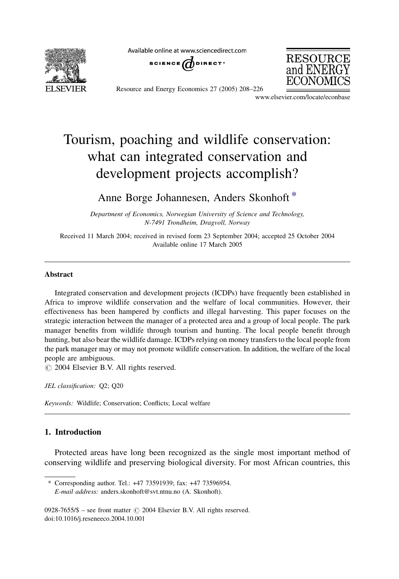

Available online at www.sciencedirect.com





Resource and Energy Economics 27 (2005) 208–226

www.elsevier.com/locate/econbase

# Tourism, poaching and wildlife conservation: what can integrated conservation and development projects accomplish?

Anne Borge Johannesen, Anders Skonhoft \*

Department of Economics, Norwegian University of Science and Technology, N-7491 Trondheim, Dragvoll, Norway

Received 11 March 2004; received in revised form 23 September 2004; accepted 25 October 2004 Available online 17 March 2005

## Abstract

Integrated conservation and development projects (ICDPs) have frequently been established in Africa to improve wildlife conservation and the welfare of local communities. However, their effectiveness has been hampered by conflicts and illegal harvesting. This paper focuses on the strategic interaction between the manager of a protected area and a group of local people. The park manager benefits from wildlife through tourism and hunting. The local people benefit through hunting, but also bear the wildlife damage. ICDPs relying on money transfers to the local people from the park manager may or may not promote wildlife conservation. In addition, the welfare of the local people are ambiguous.

 $\odot$  2004 Elsevier B.V. All rights reserved.

JEL classification: Q2; Q20

Keywords: Wildlife; Conservation; Conflicts; Local welfare

# 1. Introduction

Protected areas have long been recognized as the single most important method of conserving wildlife and preserving biological diversity. For most African countries, this

<sup>\*</sup> Corresponding author. Tel.: +47 73591939; fax: +47 73596954. E-mail address: anders.skonhoft@svt.ntnu.no (A. Skonhoft).

<sup>0928-7655/\$ –</sup> see front matter  $\odot$  2004 Elsevier B.V. All rights reserved. doi:10.1016/j.reseneeco.2004.10.001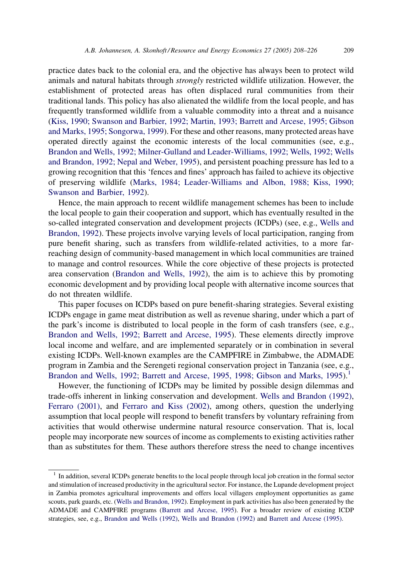practice dates back to the colonial era, and the objective has always been to protect wild animals and natural habitats through strongly restricted wildlife utilization. However, the establishment of protected areas has often displaced rural communities from their traditional lands. This policy has also alienated the wildlife from the local people, and has frequently transformed wildlife from a valuable commodity into a threat and a nuisance [\(Kiss, 1990; Swanson and Barbier, 1992; Martin, 1993; Barrett and Arcese, 1995; Gibson](#page-17-0) [and Marks, 1995; Songorwa, 1999](#page-17-0)). For these and other reasons, many protected areas have operated directly against the economic interests of the local communities (see, e.g., [Brandon and Wells, 1992; Milner-Gulland and Leader-Williams, 1992; Wells, 1992; Wells](#page-17-0) [and Brandon, 1992; Nepal and Weber, 1995\)](#page-17-0), and persistent poaching pressure has led to a growing recognition that this 'fences and fines' approach has failed to achieve its objective of preserving wildlife [\(Marks, 1984; Leader-Williams and Albon, 1988; Kiss, 1990;](#page-17-0) [Swanson and Barbier, 1992](#page-17-0)).

Hence, the main approach to recent wildlife management schemes has been to include the local people to gain their cooperation and support, which has eventually resulted in the so-called integrated conservation and development projects (ICDPs) (see, e.g., [Wells and](#page-18-0) [Brandon, 1992\)](#page-18-0). These projects involve varying levels of local participation, ranging from pure benefit sharing, such as transfers from wildlife-related activities, to a more farreaching design of community-based management in which local communities are trained to manage and control resources. While the core objective of these projects is protected area conservation [\(Brandon and Wells, 1992\)](#page-17-0), the aim is to achieve this by promoting economic development and by providing local people with alternative income sources that do not threaten wildlife.

This paper focuses on ICDPs based on pure benefit-sharing strategies. Several existing ICDPs engage in game meat distribution as well as revenue sharing, under which a part of the park's income is distributed to local people in the form of cash transfers (see, e.g., [Brandon and Wells, 1992; Barrett and Arcese, 1995\)](#page-17-0). These elements directly improve local income and welfare, and are implemented separately or in combination in several existing ICDPs. Well-known examples are the CAMPFIRE in Zimbabwe, the ADMADE program in Zambia and the Serengeti regional conservation project in Tanzania (see, e.g., [Brandon and Wells, 1992; Barrett and Arcese, 1995, 1998; Gibson and Marks, 1995](#page-17-0)).<sup>1</sup>

However, the functioning of ICDPs may be limited by possible design dilemmas and trade-offs inherent in linking conservation and development. [Wells and Brandon \(1992\),](#page-18-0) [Ferraro \(2001\)](#page-17-0), and [Ferraro and Kiss \(2002\),](#page-17-0) among others, question the underlying assumption that local people will respond to benefit transfers by voluntary refraining from activities that would otherwise undermine natural resource conservation. That is, local people may incorporate new sources of income as complements to existing activities rather than as substitutes for them. These authors therefore stress the need to change incentives

<sup>&</sup>lt;sup>1</sup> In addition, several ICDPs generate benefits to the local people through local job creation in the formal sector and stimulation of increased productivity in the agricultural sector. For instance, the Lupande development project in Zambia promotes agricultural improvements and offers local villagers employment opportunities as game scouts, park guards, etc. ([Wells and Brandon, 1992](#page-18-0)). Employment in park activities has also been generated by the ADMADE and CAMPFIRE programs [\(Barrett and Arcese, 1995\)](#page-17-0). For a broader review of existing ICDP strategies, see, e.g., [Brandon and Wells \(1992\)](#page-17-0), [Wells and Brandon \(1992\)](#page-18-0) and [Barrett and Arcese \(1995\).](#page-17-0)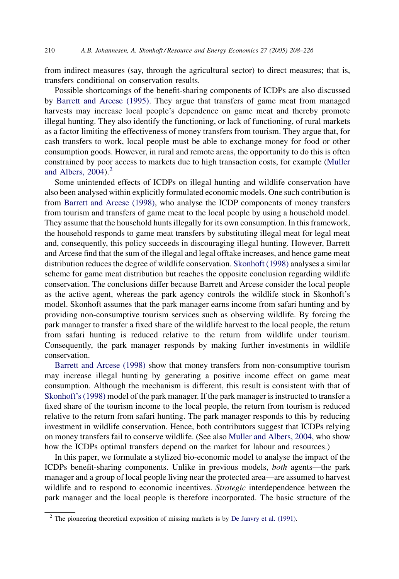from indirect measures (say, through the agricultural sector) to direct measures; that is, transfers conditional on conservation results.

Possible shortcomings of the benefit-sharing components of ICDPs are also discussed by [Barrett and Arcese \(1995\)](#page-17-0). They argue that transfers of game meat from managed harvests may increase local people's dependence on game meat and thereby promote illegal hunting. They also identify the functioning, or lack of functioning, of rural markets as a factor limiting the effectiveness of money transfers from tourism. They argue that, for cash transfers to work, local people must be able to exchange money for food or other consumption goods. However, in rural and remote areas, the opportunity to do this is often constrained by poor access to markets due to high transaction costs, for example ([Muller](#page-17-0) and Albers,  $2004$ .<sup>2</sup>

Some unintended effects of ICDPs on illegal hunting and wildlife conservation have also been analysed within explicitly formulated economic models. One such contribution is from [Barrett and Arcese \(1998\),](#page-17-0) who analyse the ICDP components of money transfers from tourism and transfers of game meat to the local people by using a household model. They assume that the household hunts illegally for its own consumption. In this framework, the household responds to game meat transfers by substituting illegal meat for legal meat and, consequently, this policy succeeds in discouraging illegal hunting. However, Barrett and Arcese find that the sum of the illegal and legal offtake increases, and hence game meat distribution reduces the degree of wildlife conservation. [Skonhoft \(1998\)](#page-17-0) analyses a similar scheme for game meat distribution but reaches the opposite conclusion regarding wildlife conservation. The conclusions differ because Barrett and Arcese consider the local people as the active agent, whereas the park agency controls the wildlife stock in Skonhoft's model. Skonhoft assumes that the park manager earns income from safari hunting and by providing non-consumptive tourism services such as observing wildlife. By forcing the park manager to transfer a fixed share of the wildlife harvest to the local people, the return from safari hunting is reduced relative to the return from wildlife under tourism. Consequently, the park manager responds by making further investments in wildlife conservation.

[Barrett and Arcese \(1998\)](#page-17-0) show that money transfers from non-consumptive tourism may increase illegal hunting by generating a positive income effect on game meat consumption. Although the mechanism is different, this result is consistent with that of [Skonhoft's \(1998\)](#page-17-0) model of the park manager. If the park manager is instructed to transfer a fixed share of the tourism income to the local people, the return from tourism is reduced relative to the return from safari hunting. The park manager responds to this by reducing investment in wildlife conservation. Hence, both contributors suggest that ICDPs relying on money transfers fail to conserve wildlife. (See also [Muller and Albers, 2004,](#page-17-0) who show how the ICDPs optimal transfers depend on the market for labour and resources.)

In this paper, we formulate a stylized bio-economic model to analyse the impact of the ICDPs benefit-sharing components. Unlike in previous models, both agents—the park manager and a group of local people living near the protected area—are assumed to harvest wildlife and to respond to economic incentives. Strategic interdependence between the park manager and the local people is therefore incorporated. The basic structure of the

<sup>&</sup>lt;sup>2</sup> The pioneering theoretical exposition of missing markets is by [De Janvry et al. \(1991\)](#page-17-0).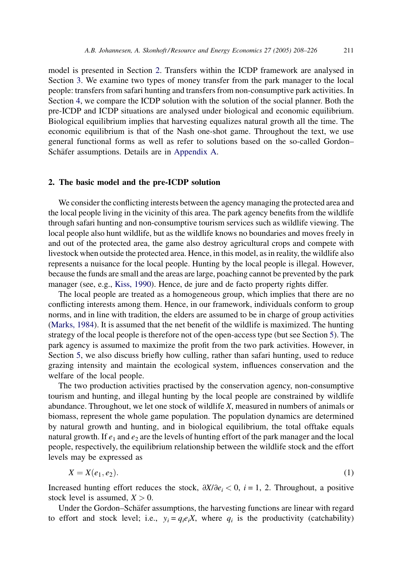<span id="page-3-0"></span>model is presented in Section 2. Transfers within the ICDP framework are analysed in Section [3.](#page-8-0) We examine two types of money transfer from the park manager to the local people: transfers from safari hunting and transfers from non-consumptive park activities. In Section [4](#page-10-0), we compare the ICDP solution with the solution of the social planner. Both the pre-ICDP and ICDP situations are analysed under biological and economic equilibrium. Biological equilibrium implies that harvesting equalizes natural growth all the time. The economic equilibrium is that of the Nash one-shot game. Throughout the text, we use general functional forms as well as refer to solutions based on the so-called Gordon– Schäfer assumptions. Details are in [Appendix A](#page-14-0).

#### 2. The basic model and the pre-ICDP solution

We consider the conflicting interests between the agency managing the protected area and the local people living in the vicinity of this area. The park agency benefits from the wildlife through safari hunting and non-consumptive tourism services such as wildlife viewing. The local people also hunt wildlife, but as the wildlife knows no boundaries and moves freely in and out of the protected area, the game also destroy agricultural crops and compete with livestock when outside the protected area. Hence, in this model, as in reality, the wildlife also represents a nuisance for the local people. Hunting by the local people is illegal. However, because the funds are small and the areas are large, poaching cannot be prevented by the park manager (see, e.g., [Kiss, 1990](#page-17-0)). Hence, de jure and de facto property rights differ.

The local people are treated as a homogeneous group, which implies that there are no conflicting interests among them. Hence, in our framework, individuals conform to group norms, and in line with tradition, the elders are assumed to be in charge of group activities [\(Marks, 1984](#page-17-0)). It is assumed that the net benefit of the wildlife is maximized. The hunting strategy of the local people is therefore not of the open-access type (but see Section [5\)](#page-13-0). The park agency is assumed to maximize the profit from the two park activities. However, in Section [5,](#page-13-0) we also discuss briefly how culling, rather than safari hunting, used to reduce grazing intensity and maintain the ecological system, influences conservation and the welfare of the local people.

The two production activities practised by the conservation agency, non-consumptive tourism and hunting, and illegal hunting by the local people are constrained by wildlife abundance. Throughout, we let one stock of wildlife  $X$ , measured in numbers of animals or biomass, represent the whole game population. The population dynamics are determined by natural growth and hunting, and in biological equilibrium, the total offtake equals natural growth. If  $e_1$  and  $e_2$  are the levels of hunting effort of the park manager and the local people, respectively, the equilibrium relationship between the wildlife stock and the effort levels may be expressed as

$$
X = X(e_1, e_2). \tag{1}
$$

Increased hunting effort reduces the stock,  $\frac{\partial X}{\partial e_i} < 0$ ,  $i = 1, 2$ . Throughout, a positive stock level is assumed,  $X > 0$ .

Under the Gordon–Schäfer assumptions, the harvesting functions are linear with regard to effort and stock level; i.e.,  $y_i = q_i e_i X$ , where  $q_i$  is the productivity (catchability)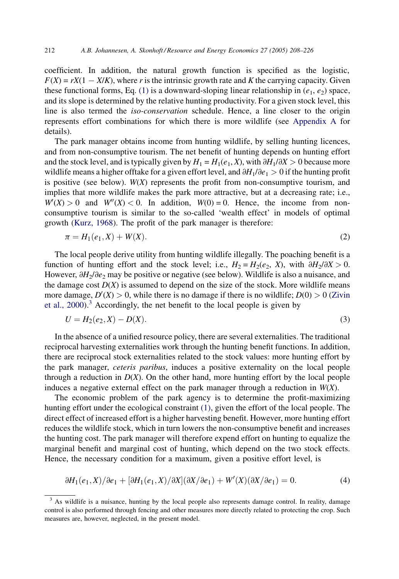<span id="page-4-0"></span>coefficient. In addition, the natural growth function is specified as the logistic,  $F(X) = rX(1 - X/K)$ , where r is the intrinsic growth rate and K the carrying capacity. Given these functional forms, Eq. [\(1\)](#page-3-0) is a downward-sloping linear relationship in  $(e_1, e_2)$  space, and its slope is determined by the relative hunting productivity. For a given stock level, this line is also termed the iso-conservation schedule. Hence, a line closer to the origin represents effort combinations for which there is more wildlife (see [Appendix A](#page-14-0) for details).

The park manager obtains income from hunting wildlife, by selling hunting licences, and from non-consumptive tourism. The net benefit of hunting depends on hunting effort and the stock level, and is typically given by  $H_1 = H_1(e_1, X)$ , with  $\partial H_1/\partial X > 0$  because more wildlife means a higher offtake for a given effort level, and  $\partial H_1/\partial e_1 > 0$  if the hunting profit is positive (see below).  $W(X)$  represents the profit from non-consumptive tourism, and implies that more wildlife makes the park more attractive, but at a decreasing rate; i.e.,  $W'(X) > 0$  and  $W''(X) < 0$ . In addition,  $W(0) = 0$ . Hence, the income from nonconsumptive tourism is similar to the so-called 'wealth effect' in models of optimal growth ([Kurz, 1968\)](#page-17-0). The profit of the park manager is therefore:

$$
\pi = H_1(e_1, X) + W(X). \tag{2}
$$

The local people derive utility from hunting wildlife illegally. The poaching benefit is a function of hunting effort and the stock level; i.e.,  $H_2 = H_2(e_2, X)$ , with  $\partial H_2/\partial X > 0$ . However,  $\partial H_2/\partial e_2$  may be positive or negative (see below). Wildlife is also a nuisance, and the damage cost  $D(X)$  is assumed to depend on the size of the stock. More wildlife means more damage,  $D'(X) > 0$ , while there is no damage if there is no wildlife;  $D(0) > 0$  [\(Zivin](#page-18-0) [et al., 2000](#page-18-0)).<sup>3</sup> Accordingly, the net benefit to the local people is given by

$$
U = H_2(e_2, X) - D(X). \tag{3}
$$

In the absence of a unified resource policy, there are several externalities. The traditional reciprocal harvesting externalities work through the hunting benefit functions. In addition, there are reciprocal stock externalities related to the stock values: more hunting effort by the park manager, ceteris paribus, induces a positive externality on the local people through a reduction in  $D(X)$ . On the other hand, more hunting effort by the local people induces a negative external effect on the park manager through a reduction in  $W(X)$ .

The economic problem of the park agency is to determine the profit-maximizing hunting effort under the ecological constraint [\(1\)](#page-3-0), given the effort of the local people. The direct effect of increased effort is a higher harvesting benefit. However, more hunting effort reduces the wildlife stock, which in turn lowers the non-consumptive benefit and increases the hunting cost. The park manager will therefore expend effort on hunting to equalize the marginal benefit and marginal cost of hunting, which depend on the two stock effects. Hence, the necessary condition for a maximum, given a positive effort level, is

$$
\partial H_1(e_1, X)/\partial e_1 + [\partial H_1(e_1, X)/\partial X](\partial X/\partial e_1) + W'(X)(\partial X/\partial e_1) = 0.
$$
 (4)

<sup>&</sup>lt;sup>3</sup> As wildlife is a nuisance, hunting by the local people also represents damage control. In reality, damage control is also performed through fencing and other measures more directly related to protecting the crop. Such measures are, however, neglected, in the present model.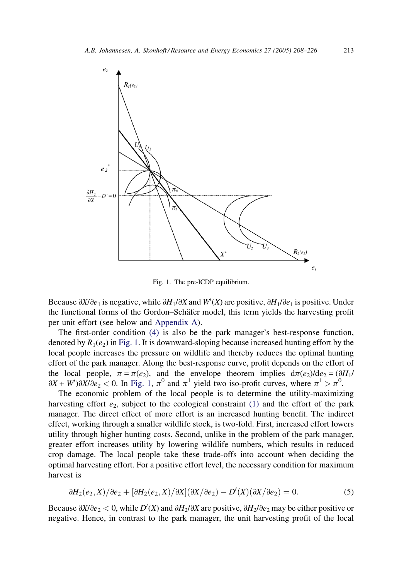<span id="page-5-0"></span>

Fig. 1. The pre-ICDP equilibrium.

Because  $\partial X/\partial e_1$  is negative, while  $\partial H_1/\partial X$  and  $W'(X)$  are positive,  $\partial H_1/\partial e_1$  is positive. Under the functional forms of the Gordon–Schäfer model, this term yields the harvesting profit per unit effort (see below and [Appendix A\)](#page-14-0).

The first-order condition [\(4\)](#page-4-0) is also be the park manager's best-response function, denoted by  $R_1(e_2)$  in Fig. 1. It is downward-sloping because increased hunting effort by the local people increases the pressure on wildlife and thereby reduces the optimal hunting effort of the park manager. Along the best-response curve, profit depends on the effort of the local people,  $\pi = \pi(e_2)$ , and the envelope theorem implies  $d\pi(e_2)/de_2 = (\partial H_1/R_2)(\partial H_2)$  $\partial X + W'$ ) $\partial X / \partial e_2 < 0$ . In Fig. 1,  $\pi^0$  and  $\pi^1$  yield two iso-profit curves, where  $\pi^1 > \pi^0$ .

The economic problem of the local people is to determine the utility-maximizing harvesting effort  $e_2$ , subject to the ecological constraint [\(1\)](#page-3-0) and the effort of the park manager. The direct effect of more effort is an increased hunting benefit. The indirect effect, working through a smaller wildlife stock, is two-fold. First, increased effort lowers utility through higher hunting costs. Second, unlike in the problem of the park manager, greater effort increases utility by lowering wildlife numbers, which results in reduced crop damage. The local people take these trade-offs into account when deciding the optimal harvesting effort. For a positive effort level, the necessary condition for maximum harvest is

$$
\frac{\partial H_2(e_2, X)}{\partial e_2} + \frac{\partial H_2(e_2, X)}{\partial X} \frac{\partial X}{\partial e_2} - D'(X) \frac{\partial X}{\partial e_2} = 0. \tag{5}
$$

Because  $\partial X/\partial e_2 < 0$ , while  $D'(X)$  and  $\partial H_2/\partial X$  are positive,  $\partial H_2/\partial e_2$  may be either positive or negative. Hence, in contrast to the park manager, the unit harvesting profit of the local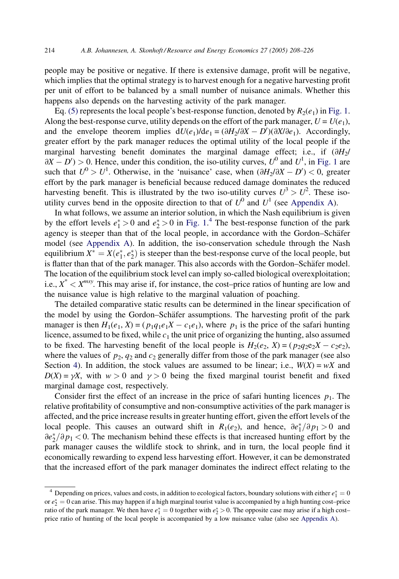people may be positive or negative. If there is extensive damage, profit will be negative, which implies that the optimal strategy is to harvest enough for a negative harvesting profit per unit of effort to be balanced by a small number of nuisance animals. Whether this happens also depends on the harvesting activity of the park manager.

Eq. [\(5\)](#page-5-0) represents the local people's best-response function, denoted by  $R_2(e_1)$  in [Fig. 1](#page-5-0). Along the best-response curve, utility depends on the effort of the park manager,  $U = U(e_1)$ , and the envelope theorem implies  $dU(e_1)/de_1 = (\partial H_2/\partial X - D')(\partial X/\partial e_1)$ . Accordingly, greater effort by the park manager reduces the optimal utility of the local people if the marginal harvesting benefit dominates the marginal damage effect; i.e., if  $(\partial H_2)$  $\partial X - D'$  > 0. Hence, under this condition, the iso-utility curves,  $U^0$  and  $U^1$ , in [Fig. 1](#page-5-0) are such that  $U^0 > U^1$ . Otherwise, in the 'nuisance' case, when  $(\partial H_2/\partial X - D') < 0$ , greater effort by the park manager is beneficial because reduced damage dominates the reduced harvesting benefit. This is illustrated by the two iso-utility curves  $U^3 > U^2$ . These isoutility curves bend in the opposite direction to that of  $U^0$  and  $U^1$  (see [Appendix A](#page-14-0)).

In what follows, we assume an interior solution, in which the Nash equilibrium is given by the effort levels  $e_1^* > 0$  and  $e_2^* > 0$  in [Fig. 1.](#page-5-0)<sup>4</sup> The best-response function of the park agency is steeper than that of the local people, in accordance with the Gordon–Schäfer model (see [Appendix A](#page-14-0)). In addition, the iso-conservation schedule through the Nash equilibrium  $X^* = X(e_1^*, e_2^*)$  is steeper than the best-response curve of the local people, but is flatter than that of the park manager. This also accords with the Gordon–Schäfer model. The location of the equilibrium stock level can imply so-called biological overexploitation; i.e.,  $X^* < X^{msy}$ . This may arise if, for instance, the cost–price ratios of hunting are low and the nuisance value is high relative to the marginal valuation of poaching.

The detailed comparative static results can be determined in the linear specification of the model by using the Gordon–Schäfer assumptions. The harvesting profit of the park manager is then  $H_1(e_1, X) = (p_1q_1e_1X - c_1e_1)$ , where  $p_1$  is the price of the safari hunting licence, assumed to be fixed, while  $c_1$  the unit price of organizing the hunting, also assumed to be fixed. The harvesting benefit of the local people is  $H_2(e_2, X) = (p_2q_2e_2X - c_2e_2),$ where the values of  $p_2$ ,  $q_2$  and  $c_2$  generally differ from those of the park manager (see also Section [4](#page-10-0)). In addition, the stock values are assumed to be linear; i.e.,  $W(X) = wX$  and  $D(X) = \gamma X$ , with  $w > 0$  and  $\gamma > 0$  being the fixed marginal tourist benefit and fixed marginal damage cost, respectively.

Consider first the effect of an increase in the price of safari hunting licences  $p_1$ . The relative profitability of consumptive and non-consumptive activities of the park manager is affected, and the price increase results in greater hunting effort, given the effort levels of the local people. This causes an outward shift in  $R_1(e_2)$ , and hence,  $\partial e_1^* / \partial p_1 > 0$  and  $\partial e_2^*/\partial p_1$  < 0. The mechanism behind these effects is that increased hunting effort by the park manager causes the wildlife stock to shrink, and in turn, the local people find it economically rewarding to expend less harvesting effort. However, it can be demonstrated that the increased effort of the park manager dominates the indirect effect relating to the

<sup>&</sup>lt;sup>4</sup> Depending on prices, values and costs, in addition to ecological factors, boundary solutions with either  $e_1^* = 0$ or  $e_2^* = 0$  can arise. This may happen if a high marginal tourist value is accompanied by a high hunting cost–price ratio of the park manager. We then have  $e_1^* = 0$  together with  $e_2^* > 0$ . The opposite case may arise if a high costprice ratio of hunting of the local people is accompanied by a low nuisance value (also see [Appendix A](#page-14-0)).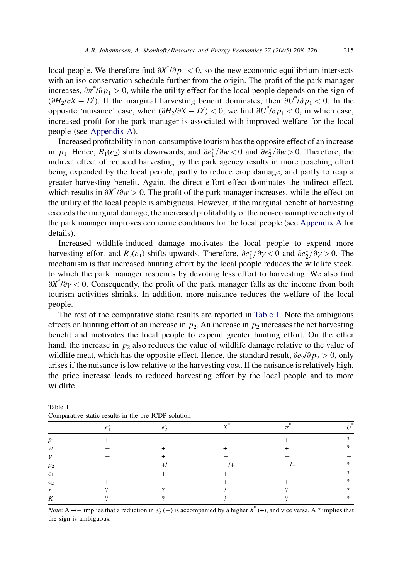local people. We therefore find  $\partial X^* / \partial p_1 < 0$ , so the new economic equilibrium intersects with an iso-conservation schedule further from the origin. The profit of the park manager increases,  $\partial \pi^* / \partial p_1 > 0$ , while the utility effect for the local people depends on the sign of  $(\partial H_2/\partial X - D')$ . If the marginal harvesting benefit dominates, then  $\partial U^* / \partial p_1 < 0$ . In the opposite 'nuisance' case, when  $(\partial H_2/\partial X - D') < 0$ , we find  $\partial U^* / \partial p_1 < 0$ , in which case, increased profit for the park manager is associated with improved welfare for the local people (see [Appendix A](#page-14-0)).

Increased profitability in non-consumptive tourism has the opposite effect of an increase in  $p_1$ . Hence,  $R_1(e_2)$  shifts downwards, and  $\partial e_1^*/\partial w < 0$  and  $\partial e_2^*/\partial w > 0$ . Therefore, the indirect effect of reduced harvesting by the park agency results in more poaching effort being expended by the local people, partly to reduce crop damage, and partly to reap a greater harvesting benefit. Again, the direct effort effect dominates the indirect effect, which results in  $\partial X^* / \partial w > 0$ . The profit of the park manager increases, while the effect on the utility of the local people is ambiguous. However, if the marginal benefit of harvesting exceeds the marginal damage, the increased profitability of the non-consumptive activity of the park manager improves economic conditions for the local people (see [Appendix A](#page-14-0) for details).

Increased wildlife-induced damage motivates the local people to expend more harvesting effort and  $R_2(e_1)$  shifts upwards. Therefore,  $\partial e_1^* / \partial \gamma < 0$  and  $\partial e_2^* / \partial \gamma > 0$ . The mechanism is that increased hunting effort by the local people reduces the wildlife stock, to which the park manager responds by devoting less effort to harvesting. We also find  $\partial X^* / \partial \gamma < 0$ . Consequently, the profit of the park manager falls as the income from both tourism activities shrinks. In addition, more nuisance reduces the welfare of the local people.

The rest of the comparative static results are reported in Table 1. Note the ambiguous effects on hunting effort of an increase in  $p_2$ . An increase in  $p_2$  increases the net harvesting benefit and motivates the local people to expend greater hunting effort. On the other hand, the increase in  $p_2$  also reduces the value of wildlife damage relative to the value of wildlife meat, which has the opposite effect. Hence, the standard result,  $\frac{\partial e_2}{\partial p_2} > 0$ , only arises if the nuisance is low relative to the harvesting cost. If the nuisance is relatively high, the price increase leads to reduced harvesting effort by the local people and to more wildlife.

| $p_1$          |     |          | റ |  |
|----------------|-----|----------|---|--|
| w              |     | $\,{}^+$ |   |  |
| $\gamma$       |     |          |   |  |
| p <sub>2</sub> | $+$ | –        | റ |  |
| c <sub>1</sub> |     |          |   |  |
| c <sub>2</sub> |     |          | ച |  |
| r              |     | $\Omega$ |   |  |
| K              |     |          |   |  |
|                |     |          |   |  |

| Table 1                                             |  |
|-----------------------------------------------------|--|
| Comparative static results in the pre-ICDP solution |  |

*Note*: A +/- implies that a reduction in  $e_2^*$  (-) is accompanied by a higher  $X^*$  (+), and vice versa. A ? implies that the sign is ambiguous.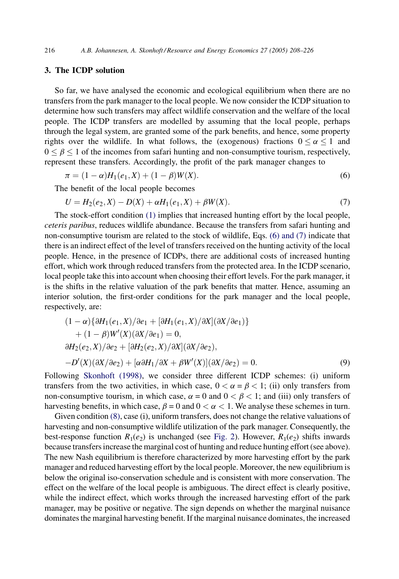# <span id="page-8-0"></span>3. The ICDP solution

So far, we have analysed the economic and ecological equilibrium when there are no transfers from the park manager to the local people. We now consider the ICDP situation to determine how such transfers may affect wildlife conservation and the welfare of the local people. The ICDP transfers are modelled by assuming that the local people, perhaps through the legal system, are granted some of the park benefits, and hence, some property rights over the wildlife. In what follows, the (exogenous) fractions  $0 \le \alpha \le 1$  and  $0 \le \beta \le 1$  of the incomes from safari hunting and non-consumptive tourism, respectively, represent these transfers. Accordingly, the profit of the park manager changes to

$$
\pi = (1 - \alpha)H_1(e_1, X) + (1 - \beta)W(X).
$$
\n(6)

The benefit of the local people becomes

$$
U = H_2(e_2, X) - D(X) + \alpha H_1(e_1, X) + \beta W(X). \tag{7}
$$

The stock-effort condition [\(1\)](#page-3-0) implies that increased hunting effort by the local people, ceteris paribus, reduces wildlife abundance. Because the transfers from safari hunting and non-consumptive tourism are related to the stock of wildlife, Eqs. (6) and (7) indicate that there is an indirect effect of the level of transfers received on the hunting activity of the local people. Hence, in the presence of ICDPs, there are additional costs of increased hunting effort, which work through reduced transfers from the protected area. In the ICDP scenario, local people take this into account when choosing their effort levels. For the park manager, it is the shifts in the relative valuation of the park benefits that matter. Hence, assuming an interior solution, the first-order conditions for the park manager and the local people, respectively, are:

$$
(1 - \alpha)\{\partial H_1(e_1, X)/\partial e_1 + [\partial H_1(e_1, X)/\partial X](\partial X/\partial e_1)\} + (1 - \beta)W'(X)(\partial X/\partial e_1) = 0,\n\partial H_2(e_2, X)/\partial e_2 + [\partial H_2(e_2, X)/\partial X](\partial X/\partial e_2),\n- D'(X)(\partial X/\partial e_2) + [\alpha \partial H_1/\partial X + \beta W'(X)](\partial X/\partial e_2) = 0.
$$
\n(9)

Following [Skonhoft \(1998\),](#page-17-0) we consider three different ICDP schemes: (i) uniform transfers from the two activities, in which case,  $0 < \alpha = \beta < 1$ ; (ii) only transfers from non-consumptive tourism, in which case,  $\alpha = 0$  and  $0 < \beta < 1$ ; and (iii) only transfers of harvesting benefits, in which case,  $\beta = 0$  and  $0 < \alpha < 1$ . We analyse these schemes in turn.

Given condition (8), case (i), uniform transfers, does not change the relative valuations of harvesting and non-consumptive wildlife utilization of the park manager. Consequently, the best-response function  $R_1(e_2)$  is unchanged (see [Fig. 2](#page-9-0)). However,  $R_1(e_2)$  shifts inwards because transfers increase the marginal cost of hunting and reduce hunting effort (see above). The new Nash equilibrium is therefore characterized by more harvesting effort by the park manager and reduced harvesting effort by the local people. Moreover, the new equilibrium is below the original iso-conservation schedule and is consistent with more conservation. The effect on the welfare of the local people is ambiguous. The direct effect is clearly positive, while the indirect effect, which works through the increased harvesting effort of the park manager, may be positive or negative. The sign depends on whether the marginal nuisance dominates the marginal harvesting benefit. If the marginal nuisance dominates, the increased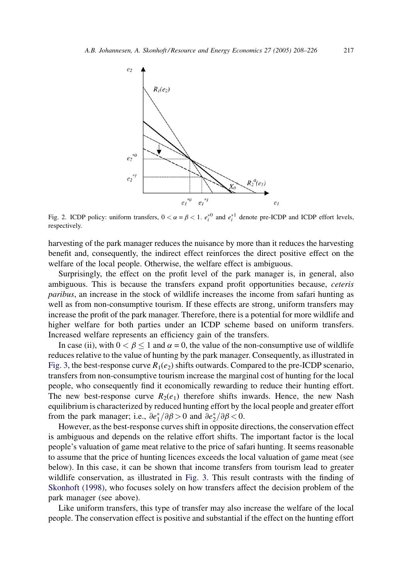<span id="page-9-0"></span>

Fig. 2. ICDP policy: uniform transfers,  $0 < \alpha = \beta < 1$ .  $e_i^*{}^0$  and  $e_i^*{}^1$  denote pre-ICDP and ICDP effort levels, respectively.

harvesting of the park manager reduces the nuisance by more than it reduces the harvesting benefit and, consequently, the indirect effect reinforces the direct positive effect on the welfare of the local people. Otherwise, the welfare effect is ambiguous.

Surprisingly, the effect on the profit level of the park manager is, in general, also ambiguous. This is because the transfers expand profit opportunities because, ceteris paribus, an increase in the stock of wildlife increases the income from safari hunting as well as from non-consumptive tourism. If these effects are strong, uniform transfers may increase the profit of the park manager. Therefore, there is a potential for more wildlife and higher welfare for both parties under an ICDP scheme based on uniform transfers. Increased welfare represents an efficiency gain of the transfers.

In case (ii), with  $0 < \beta < 1$  and  $\alpha = 0$ , the value of the non-consumptive use of wildlife reduces relative to the value of hunting by the park manager. Consequently, as illustrated in [Fig. 3,](#page-10-0) the best-response curve  $R_1(e_2)$  shifts outwards. Compared to the pre-ICDP scenario, transfers from non-consumptive tourism increase the marginal cost of hunting for the local people, who consequently find it economically rewarding to reduce their hunting effort. The new best-response curve  $R_2(e_1)$  therefore shifts inwards. Hence, the new Nash equilibrium is characterized by reduced hunting effort by the local people and greater effort from the park manager; i.e.,  $\partial e_1^* / \partial \beta > 0$  and  $\partial e_2^* / \partial \beta < 0$ .

However, as the best-response curves shift in opposite directions, the conservation effect is ambiguous and depends on the relative effort shifts. The important factor is the local people's valuation of game meat relative to the price of safari hunting. It seems reasonable to assume that the price of hunting licences exceeds the local valuation of game meat (see below). In this case, it can be shown that income transfers from tourism lead to greater wildlife conservation, as illustrated in [Fig. 3](#page-10-0). This result contrasts with the finding of [Skonhoft \(1998\),](#page-17-0) who focuses solely on how transfers affect the decision problem of the park manager (see above).

Like uniform transfers, this type of transfer may also increase the welfare of the local people. The conservation effect is positive and substantial if the effect on the hunting effort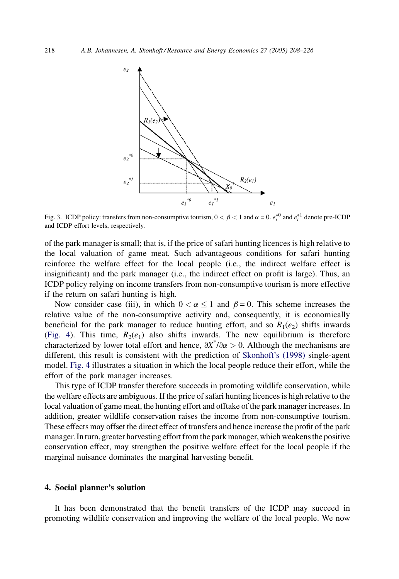<span id="page-10-0"></span>

Fig. 3. ICDP policy: transfers from non-consumptive tourism,  $0 < \beta < 1$  and  $\alpha = 0$ .  $e_i^{*0}$  and  $e_i^{*1}$  denote pre-ICDP and ICDP effort levels, respectively.

of the park manager is small; that is, if the price of safari hunting licences is high relative to the local valuation of game meat. Such advantageous conditions for safari hunting reinforce the welfare effect for the local people (i.e., the indirect welfare effect is insignificant) and the park manager (i.e., the indirect effect on profit is large). Thus, an ICDP policy relying on income transfers from non-consumptive tourism is more effective if the return on safari hunting is high.

Now consider case (iii), in which  $0 < \alpha < 1$  and  $\beta = 0$ . This scheme increases the relative value of the non-consumptive activity and, consequently, it is economically beneficial for the park manager to reduce hunting effort, and so  $R_1(e_2)$  shifts inwards ([Fig. 4](#page-11-0)). This time,  $R_2(e_1)$  also shifts inwards. The new equilibrium is therefore characterized by lower total effort and hence,  $\partial X^* / \partial \alpha > 0$ . Although the mechanisms are different, this result is consistent with the prediction of [Skonhoft's \(1998\)](#page-17-0) single-agent model. [Fig. 4](#page-11-0) illustrates a situation in which the local people reduce their effort, while the effort of the park manager increases.

This type of ICDP transfer therefore succeeds in promoting wildlife conservation, while the welfare effects are ambiguous. If the price of safari hunting licences is high relative to the local valuation of game meat, the hunting effort and offtake of the park manager increases. In addition, greater wildlife conservation raises the income from non-consumptive tourism. These effects may offset the direct effect of transfers and hence increase the profit of the park manager. Inturn, greater harvesting effort from the park manager, which weakensthe positive conservation effect, may strengthen the positive welfare effect for the local people if the marginal nuisance dominates the marginal harvesting benefit.

## 4. Social planner's solution

It has been demonstrated that the benefit transfers of the ICDP may succeed in promoting wildlife conservation and improving the welfare of the local people. We now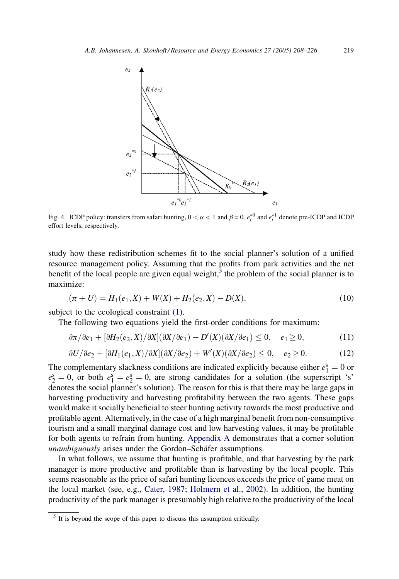<span id="page-11-0"></span>

Fig. 4. ICDP policy: transfers from safari hunting,  $0 < \alpha < 1$  and  $\beta = 0$ .  $e_i^{\ast 0}$  and  $e_i^{\ast 1}$  denote pre-ICDP and ICDP effort levels, respectively.

study how these redistribution schemes fit to the social planner's solution of a unified resource management policy. Assuming that the profits from park activities and the net benefit of the local people are given equal weight,<sup>5</sup> the problem of the social planner is to maximize:

$$
(\pi + U) = H_1(e_1, X) + W(X) + H_2(e_2, X) - D(X), \tag{10}
$$

subject to the ecological constraint  $(1)$ .

The following two equations yield the first-order conditions for maximum:

$$
\frac{\partial \pi}{\partial e_1} + \left[\frac{\partial H_2(e_2, X)}{\partial X}\right](\frac{\partial X}{\partial e_1}) - D'(X)(\frac{\partial X}{\partial e_1}) \le 0, \quad e_1 \ge 0,\tag{11}
$$

$$
\frac{\partial U}{\partial e_2} + \frac{\partial H_1}{\partial x_1} + \frac{\partial H_1}{\partial x_2} + \frac{\partial H_1}{\partial x_1} + \frac{\partial H_1}{\partial x_2} + \frac{\partial H_1}{\partial x_2} + \frac{\partial H_1}{\partial x_2} + \frac{\partial H_1}{\partial x_2} + \frac{\partial H_1}{\partial x_2} + \frac{\partial H_1}{\partial x_2} + \frac{\partial H_1}{\partial x_2} + \frac{\partial H_1}{\partial x_2} + \frac{\partial H_1}{\partial x_2} + \frac{\partial H_1}{\partial x_2} + \frac{\partial H_1}{\partial x_2} + \frac{\partial H_1}{\partial x_2} + \frac{\partial H_1}{\partial x_2} + \frac{\partial H_1}{\partial x_2} + \frac{\partial H_1}{\partial x_2} + \frac{\partial H_1}{\partial x_2} + \frac{\partial H_1}{\partial x_2} + \frac{\partial H_1}{\partial x_2} + \frac{\partial H_1}{\partial x_2} + \frac{\partial H_1}{\partial x_2} + \frac{\partial H_1}{\partial x_2} + \frac{\partial H_1}{\partial x_2} + \frac{\partial H_1}{\partial x_2} + \frac{\partial H_1}{\partial x_2} + \frac{\partial H_1}{\partial x_2} + \frac{\partial H_1}{\partial x_2} + \frac{\partial H_1}{\partial x_2} + \frac{\partial H_1}{\partial x_2} + \frac{\partial H_1}{\partial x_2} + \frac{\partial H_1}{\partial x_2} + \frac{\partial H_1}{\partial x_2} + \frac{\partial H_1}{\partial x_2} + \frac{\partial H_1}{\partial x_2} + \frac{\partial H_1}{\partial x_2} + \frac{\partial H_1}{\partial x_2} + \frac{\partial H_1}{\partial x_2} + \frac{\partial H_1}{\partial x_2} + \frac{\partial H_1}{\partial x_2} + \frac{\partial H_1}{\partial x_2} + \frac{\partial H_1}{\partial x_2} + \frac{\partial H_1}{\partial x_2} + \frac{\partial H_1}{\partial x_2} + \frac{\partial H_1}{\partial x_2} + \frac{\partial H_1}{\partial x_2} + \frac{\partial H_1}{\partial x_2} + \frac{\partial H_1}{\partial x_2} + \frac{\partial H_1}{\partial x_
$$

The complementary slackness conditions are indicated explicitly because either  $e_1^s = 0$  or  $e_2^s = 0$ , or both  $e_1^s = e_2^s = 0$ , are strong candidates for a solution (the superscript 's' denotes the social planner's solution). The reason for this is that there may be large gaps in harvesting productivity and harvesting profitability between the two agents. These gaps would make it socially beneficial to steer hunting activity towards the most productive and profitable agent. Alternatively, in the case of a high marginal benefit from non-consumptive tourism and a small marginal damage cost and low harvesting values, it may be profitable for both agents to refrain from hunting. [Appendix A](#page-14-0) demonstrates that a corner solution unambiguously arises under the Gordon–Schäfer assumptions.

In what follows, we assume that hunting is profitable, and that harvesting by the park manager is more productive and profitable than is harvesting by the local people. This seems reasonable as the price of safari hunting licences exceeds the price of game meat on the local market (see, e.g., [Cater, 1987; Holmern et al., 2002\)](#page-17-0). In addition, the hunting productivity of the park manager is presumably high relative to the productivity of the local

<sup>&</sup>lt;sup>5</sup> It is beyond the scope of this paper to discuss this assumption critically.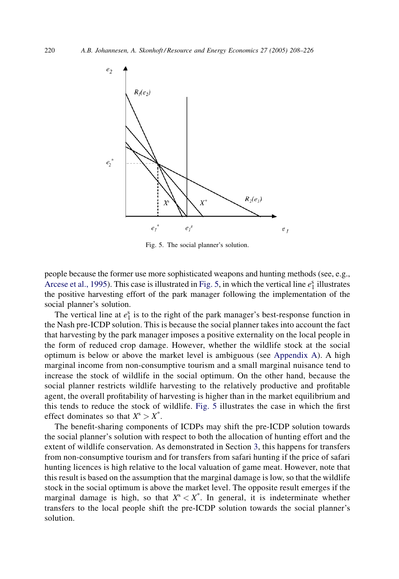

Fig. 5. The social planner's solution.

people because the former use more sophisticated weapons and hunting methods (see, e.g., [Arcese et al., 1995\)](#page-17-0). This case is illustrated in Fig. 5, in which the vertical line  $e_1^s$  illustrates the positive harvesting effort of the park manager following the implementation of the social planner's solution.

The vertical line at  $e_1^s$  is to the right of the park manager's best-response function in the Nash pre-ICDP solution. This is because the social planner takes into account the fact that harvesting by the park manager imposes a positive externality on the local people in the form of reduced crop damage. However, whether the wildlife stock at the social optimum is below or above the market level is ambiguous (see [Appendix A](#page-14-0)). A high marginal income from non-consumptive tourism and a small marginal nuisance tend to increase the stock of wildlife in the social optimum. On the other hand, because the social planner restricts wildlife harvesting to the relatively productive and profitable agent, the overall profitability of harvesting is higher than in the market equilibrium and this tends to reduce the stock of wildlife. Fig. 5 illustrates the case in which the first effect dominates so that  $X^s > X^*$ .

The benefit-sharing components of ICDPs may shift the pre-ICDP solution towards the social planner's solution with respect to both the allocation of hunting effort and the extent of wildlife conservation. As demonstrated in Section [3,](#page-8-0) this happens for transfers from non-consumptive tourism and for transfers from safari hunting if the price of safari hunting licences is high relative to the local valuation of game meat. However, note that this result is based on the assumption that the marginal damage is low, so that the wildlife stock in the social optimum is above the market level. The opposite result emerges if the marginal damage is high, so that  $X^s < X^*$ . In general, it is indeterminate whether transfers to the local people shift the pre-ICDP solution towards the social planner's solution.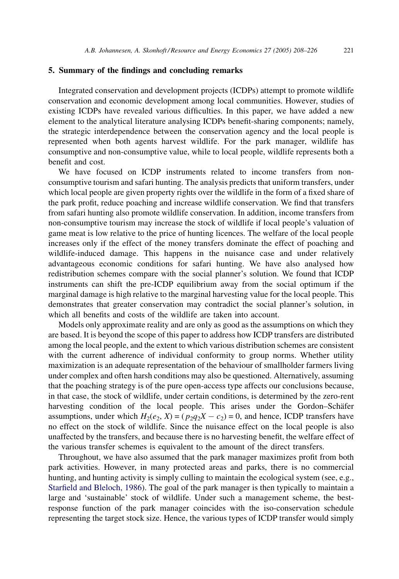#### <span id="page-13-0"></span>5. Summary of the findings and concluding remarks

Integrated conservation and development projects (ICDPs) attempt to promote wildlife conservation and economic development among local communities. However, studies of existing ICDPs have revealed various difficulties. In this paper, we have added a new element to the analytical literature analysing ICDPs benefit-sharing components; namely, the strategic interdependence between the conservation agency and the local people is represented when both agents harvest wildlife. For the park manager, wildlife has consumptive and non-consumptive value, while to local people, wildlife represents both a benefit and cost.

We have focused on ICDP instruments related to income transfers from nonconsumptive tourism and safari hunting. The analysis predicts that uniform transfers, under which local people are given property rights over the wildlife in the form of a fixed share of the park profit, reduce poaching and increase wildlife conservation. We find that transfers from safari hunting also promote wildlife conservation. In addition, income transfers from non-consumptive tourism may increase the stock of wildlife if local people's valuation of game meat is low relative to the price of hunting licences. The welfare of the local people increases only if the effect of the money transfers dominate the effect of poaching and wildlife-induced damage. This happens in the nuisance case and under relatively advantageous economic conditions for safari hunting. We have also analysed how redistribution schemes compare with the social planner's solution. We found that ICDP instruments can shift the pre-ICDP equilibrium away from the social optimum if the marginal damage is high relative to the marginal harvesting value for the local people. This demonstrates that greater conservation may contradict the social planner's solution, in which all benefits and costs of the wildlife are taken into account.

Models only approximate reality and are only as good as the assumptions on which they are based. It is beyond the scope of this paper to address how ICDP transfers are distributed among the local people, and the extent to which various distribution schemes are consistent with the current adherence of individual conformity to group norms. Whether utility maximization is an adequate representation of the behaviour of smallholder farmers living under complex and often harsh conditions may also be questioned. Alternatively, assuming that the poaching strategy is of the pure open-access type affects our conclusions because, in that case, the stock of wildlife, under certain conditions, is determined by the zero-rent harvesting condition of the local people. This arises under the Gordon–Schäfer assumptions, under which  $H_2(e_2, X) = (p_2q_2X - c_2) = 0$ , and hence, ICDP transfers have no effect on the stock of wildlife. Since the nuisance effect on the local people is also unaffected by the transfers, and because there is no harvesting benefit, the welfare effect of the various transfer schemes is equivalent to the amount of the direct transfers.

Throughout, we have also assumed that the park manager maximizes profit from both park activities. However, in many protected areas and parks, there is no commercial hunting, and hunting activity is simply culling to maintain the ecological system (see, e.g., [Starfield and Bleloch, 1986](#page-18-0)). The goal of the park manager is then typically to maintain a large and 'sustainable' stock of wildlife. Under such a management scheme, the bestresponse function of the park manager coincides with the iso-conservation schedule representing the target stock size. Hence, the various types of ICDP transfer would simply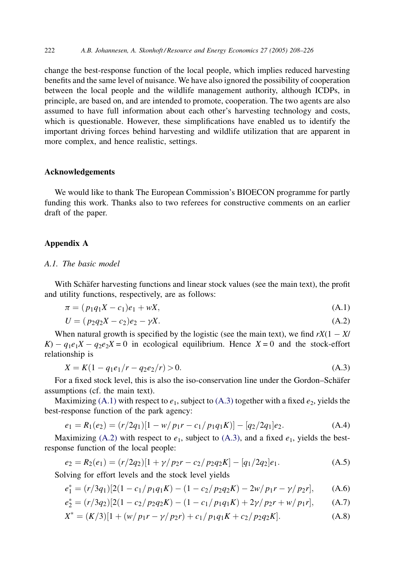<span id="page-14-0"></span>change the best-response function of the local people, which implies reduced harvesting benefits and the same level of nuisance. We have also ignored the possibility of cooperation between the local people and the wildlife management authority, although ICDPs, in principle, are based on, and are intended to promote, cooperation. The two agents are also assumed to have full information about each other's harvesting technology and costs, which is questionable. However, these simplifications have enabled us to identify the important driving forces behind harvesting and wildlife utilization that are apparent in more complex, and hence realistic, settings.

## Acknowledgements

We would like to thank The European Commission's BIOECON programme for partly funding this work. Thanks also to two referees for constructive comments on an earlier draft of the paper.

## Appendix A

## A.1. The basic model

With Schäfer harvesting functions and linear stock values (see the main text), the profit and utility functions, respectively, are as follows:

$$
\pi = (p_1 q_1 X - c_1) e_1 + wX, \tag{A.1}
$$

$$
U = (p_2 q_2 X - c_2)e_2 - \gamma X. \tag{A.2}
$$

When natural growth is specified by the logistic (see the main text), we find  $rX(1 - X/$  $K$ ) –  $q_1e_1X$  –  $q_2e_2X = 0$  in ecological equilibrium. Hence  $X = 0$  and the stock-effort relationship is

$$
X = K(1 - q_1 e_1/r - q_2 e_2/r) > 0.
$$
 (A.3)

For a fixed stock level, this is also the iso-conservation line under the Gordon–Schäfer assumptions (cf. the main text).

Maximizing (A.1) with respect to  $e_1$ , subject to (A.3) together with a fixed  $e_2$ , yields the best-response function of the park agency:

$$
e_1 = R_1(e_2) = (r/2q_1)[1 - w/p_1r - c_1/p_1q_1K)] - [q_2/2q_1]e_2.
$$
 (A.4)

Maximizing (A.2) with respect to  $e_1$ , subject to (A.3), and a fixed  $e_1$ , yields the bestresponse function of the local people:

$$
e_2 = R_2(e_1) = (r/2q_2)[1 + \gamma/p_2r - c_2/p_2q_2K] - [q_1/2q_2]e_1.
$$
 (A.5)

Solving for effort levels and the stock level yields

$$
e_1^* = (r/3q_1)[2(1 - c_1/p_1q_1K) - (1 - c_2/p_2q_2K) - 2w/p_1r - \gamma/p_2r], \qquad (A.6)
$$

$$
e_2^* = (r/3q_2)[2(1 - c_2/p_2q_2K) - (1 - c_1/p_1q_1K) + 2\gamma/p_2r + w/p_1r],
$$
 (A.7)

$$
X^* = (K/3)[1 + (w/p_1r - \gamma/p_2r) + c_1/p_1q_1K + c_2/p_2q_2K].
$$
 (A.8)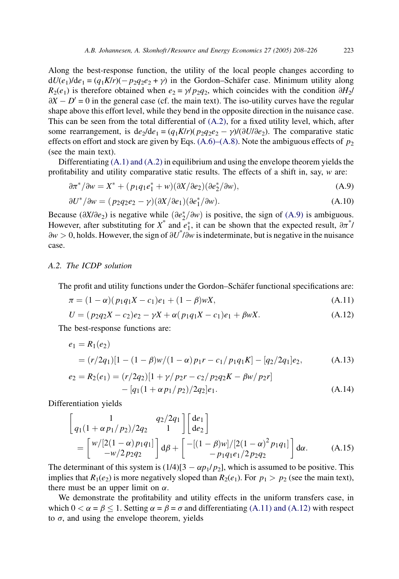<span id="page-15-0"></span>Along the best-response function, the utility of the local people changes according to  $dU(e_1)/de_1 = (q_1K/r)(-p_2q_2e_2 + \gamma)$  in the Gordon–Schäfer case. Minimum utility along  $R_2(e_1)$  is therefore obtained when  $e_2 = \gamma/p_2q_2$ , which coincides with the condition  $\partial H_2$ /  $\partial X - D' = 0$  in the general case (cf. the main text). The iso-utility curves have the regular shape above this effort level, while they bend in the opposite direction in the nuisance case. This can be seen from the total differential of [\(A.2\)](#page-14-0), for a fixed utility level, which, after some rearrangement, is  $de_1 = (q_1 K/r)(p_2 q_2 e_2 - \gamma)/(\partial U/\partial e_2)$ . The comparative static effects on effort and stock are given by Eqs. [\(A.6\)–\(A.8\)](#page-14-0). Note the ambiguous effects of  $p_2$ (see the main text).

Differentiating [\(A.1\) and \(A.2\)](#page-14-0) in equilibrium and using the envelope theorem yields the profitability and utility comparative static results. The effects of a shift in, say,  $w$  are:

$$
\partial \pi^* / \partial w = X^* + (p_1 q_1 e_1^* + w)(\partial X / \partial e_2)(\partial e_2^* / \partial w), \tag{A.9}
$$

$$
\partial U^* / \partial w = (p_2 q_2 e_2 - \gamma)(\partial X / \partial e_1)(\partial e_1^* / \partial w).
$$
 (A.10)

Because ( $\partial X/\partial e_2$ ) is negative while  $(\partial e_2^*/\partial w)$  is positive, the sign of (A.9) is ambiguous. However, after substituting for  $X^*$  and  $e_1^*$ , it can be shown that the expected result,  $\partial \pi^*$ /  $\partial w > 0$ , holds. However, the sign of  $\partial U^* / \partial w$  is indeterminate, but is negative in the nuisance case.

# A.2. The ICDP solution

The profit and utility functions under the Gordon–Schäfer functional specifications are:

$$
\pi = (1 - \alpha)(p_1 q_1 X - c_1)e_1 + (1 - \beta)wX, \tag{A.11}
$$

$$
U = (p_2 q_2 X - c_2)e_2 - \gamma X + \alpha (p_1 q_1 X - c_1)e_1 + \beta w X.
$$
 (A.12)

The best-response functions are:

$$
e_1 = R_1(e_2)
$$
  
=  $(r/2q_1)[1 - (1 - \beta)w/(1 - \alpha)p_1r - c_1/p_1q_1K] - [q_2/2q_1]e_2,$  (A.13)

$$
e_2 = R_2(e_1) = (r/2q_2)[1 + \gamma/p_2r - c_2/p_2q_2K - \beta w/p_2r]
$$
  
- 
$$
[q_1(1 + \alpha p_1/p_2)/2q_2]e_1.
$$
 (A.14)

Differentiation yields

$$
\begin{bmatrix} 1 & q_2/2q_1 \ q_1(1+\alpha p_1/p_2)/2q_2 & 1 \end{bmatrix} \begin{bmatrix} de_1 \ de_2 \end{bmatrix}
$$
  
= 
$$
\begin{bmatrix} w/[2(1-\alpha)p_1q_1] \\ -w/2p_2q_2 \end{bmatrix} d\beta + \begin{bmatrix} -[(1-\beta)w]/[2(1-\alpha)^2 p_1q_1] \\ -p_1q_1e_1/2p_2q_2 \end{bmatrix} d\alpha.
$$
 (A.15)

The determinant of this system is  $(1/4)[3 - \alpha p_1/p_2]$ , which is assumed to be positive. This implies that  $R_1(e_2)$  is more negatively sloped than  $R_2(e_1)$ . For  $p_1 > p_2$  (see the main text), there must be an upper limit on  $\alpha$ .

We demonstrate the profitability and utility effects in the uniform transfers case, in which  $0 < \alpha = \beta < 1$ . Setting  $\alpha = \beta = \sigma$  and differentiating (A.11) and (A.12) with respect to  $\sigma$ , and using the envelope theorem, yields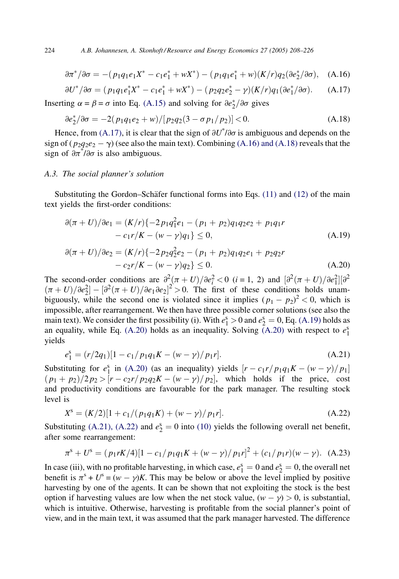$$
\partial \pi^* / \partial \sigma = -(p_1 q_1 e_1 X^* - c_1 e_1^* + w X^*) - (p_1 q_1 e_1^* + w)(K/r) q_2 (\partial e_2^* / \partial \sigma), \quad (A.16)
$$

$$
\partial U^*/\partial \sigma = (p_1 q_1 e_1^* X^* - c_1 e_1^* + w X^*) - (p_2 q_2 e_2^* - \gamma)(K/r) q_1 (\partial e_1^*/\partial \sigma). \tag{A.17}
$$

Inserting  $\alpha = \beta = \sigma$  into Eq. [\(A.15\)](#page-15-0) and solving for  $\partial e_2^* / \partial \sigma$  gives

$$
\frac{\partial e_2^*}{\partial \sigma} = -2(p_1 q_1 e_2 + w) / [p_2 q_2 (3 - \sigma p_1 / p_2)] < 0. \tag{A.18}
$$

Hence, from (A.17), it is clear that the sign of  $\partial U^* / \partial \sigma$  is ambiguous and depends on the sign of  $(p_2q_2e_2 - \gamma)$  (see also the main text). Combining (A.16) and (A.18) reveals that the sign of  $\partial \pi^* / \partial \sigma$  is also ambiguous.

## A.3. The social planner's solution

Substituting the Gordon–Schäfer functional forms into Eqs. [\(11\)](#page-11-0) and [\(12\)](#page-11-0) of the main text yields the first-order conditions:

$$
\partial(\pi + U)/\partial e_1 = (K/r)\{-2p_1q_1^2e_1 - (p_1 + p_2)q_1q_2e_2 + p_1q_1r
$$
  
-  $c_1r/K - (w - \gamma)q_1\} \le 0,$  (A.19)

$$
\partial(\pi + U)/\partial e_2 = (K/r)\{-2p_2q_2^2e_2 - (p_1 + p_2)q_1q_2e_1 + p_2q_2r
$$
  
-  $c_2r/K - (w - \gamma)q_2\} \le 0.$  (A.20)

The second-order conditions are  $\frac{\partial^2(\pi+U)}{\partial e_i^2} < 0$  (*i* = 1, 2) and  $\left[\frac{\partial^2(\pi+U)}{\partial e_1^2}\right]\left[\frac{\partial^2(U+U)}{\partial e_2^2}\right]$  $(\pi + U)/\partial e_2^2$  –  $[\partial^2(\pi + U)/\partial e_1 \partial e_2]^2 > 0$ . The first of these conditions holds unambiguously, while the second one is violated since it implies  $(p_1 - p_2)^2 < 0$ , which is impossible, after rearrangement. We then have three possible corner solutions (see also the main text). We consider the first possibility (i). With  $e_1^s > 0$  and  $e_2^s = 0$ , Eq. (A.19) holds as an equality, while Eq. (A.20) holds as an inequality. Solving  $(A.20)$  with respect to  $e_1^s$ yields

$$
e_1^s = \frac{r}{2q_1} \left[1 - \frac{c_1}{p_1 q_1 K} - \frac{w - \gamma}{p_1 r}\right].\tag{A.21}
$$

Substituting for  $e_1^s$  in (A.20) (as an inequality) yields  $[r - c_1r/p_1q_1K - (w - \gamma)/p_1]$  $\frac{p_1 + p_2}{2p_2}$   $\frac{p_2 - p_1}{p_2q_2K - (w - \gamma)/p_2}$ , which holds if the price, cost and productivity conditions are favourable for the park manager. The resulting stock level is

$$
X^{s} = (K/2)[1 + c_{1}/(p_{1}q_{1}K) + (w - \gamma)/p_{1}r].
$$
\n(A.22)

Substituting (A.21), (A.22) and  $e_2^s = 0$  into [\(10\)](#page-11-0) yields the following overall net benefit, after some rearrangement:

$$
\pi^s + U^s = (p_1 r K/4)[1 - c_1/p_1 q_1 K + (w - \gamma)/p_1 r]^2 + (c_1/p_1 r)(w - \gamma). \quad (A.23)
$$

In case (iii), with no profitable harvesting, in which case,  $e_1^s = 0$  and  $e_2^s = 0$ , the overall net benefit is  $\pi^s + U^s = (w - \gamma)K$ . This may be below or above the level implied by positive harvesting by one of the agents. It can be shown that not exploiting the stock is the best option if harvesting values are low when the net stock value,  $(w - \gamma) > 0$ , is substantial, which is intuitive. Otherwise, harvesting is profitable from the social planner's point of view, and in the main text, it was assumed that the park manager harvested. The difference

<span id="page-16-0"></span>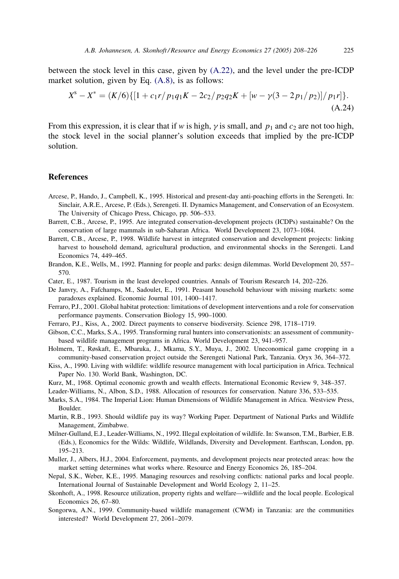<span id="page-17-0"></span>between the stock level in this case, given by [\(A.22\)](#page-16-0), and the level under the pre-ICDP market solution, given by Eq. [\(A.8\),](#page-14-0) is as follows:

$$
X^{s} - X^{*} = (K/6)\{[1 + c_{1}r/p_{1}q_{1}K - 2c_{2}/p_{2}q_{2}K + [w - \gamma(3 - 2p_{1}/p_{2})]/p_{1}r]\}.
$$
\n(A.24)

From this expression, it is clear that if w is high,  $\gamma$  is small, and  $p_1$  and  $c_2$  are not too high, the stock level in the social planner's solution exceeds that implied by the pre-ICDP solution.

#### References

- Arcese, P., Hando, J., Campbell, K., 1995. Historical and present-day anti-poaching efforts in the Serengeti. In: Sinclair, A.R.E., Arcese, P. (Eds.), Serengeti. II. Dynamics Management, and Conservation of an Ecosystem. The University of Chicago Press, Chicago, pp. 506–533.
- Barrett, C.B., Arcese, P., 1995. Are integrated conservation-development projects (ICDPs) sustainable? On the conservation of large mammals in sub-Saharan Africa. World Development 23, 1073–1084.
- Barrett, C.B., Arcese, P., 1998. Wildlife harvest in integrated conservation and development projects: linking harvest to household demand, agricultural production, and environmental shocks in the Serengeti. Land Economics 74, 449–465.
- Brandon, K.E., Wells, M., 1992. Planning for people and parks: design dilemmas. World Development 20, 557– 570.
- Cater, E., 1987. Tourism in the least developed countries. Annals of Tourism Research 14, 202–226.
- De Janvry, A., Fafchamps, M., Sadoulet, E., 1991. Peasant household behaviour with missing markets: some paradoxes explained. Economic Journal 101, 1400–1417.
- Ferraro, P.J., 2001. Global habitat protection: limitations of development interventions and a role for conservation performance payments. Conservation Biology 15, 990–1000.
- Ferraro, P.J., Kiss, A., 2002. Direct payments to conserve biodiversity. Science 298, 1718–1719.
- Gibson, C.C., Marks, S.A., 1995. Transforming rural hunters into conservationists: an assessment of communitybased wildlife management programs in Africa. World Development 23, 941–957.
- Holmern, T., Røskaft, E., Mbaruka, J., Mkama, S.Y., Muya, J., 2002. Uneconomical game cropping in a community-based conservation project outside the Serengeti National Park, Tanzania. Oryx 36, 364–372.
- Kiss, A., 1990. Living with wildlife: wildlife resource management with local participation in Africa. Technical Paper No. 130. World Bank, Washington, DC.
- Kurz, M., 1968. Optimal economic growth and wealth effects. International Economic Review 9, 348–357.

Leader-Williams, N., Albon, S.D., 1988. Allocation of resources for conservation. Nature 336, 533–535.

- Marks, S.A., 1984. The Imperial Lion: Human Dimensions of Wildlife Management in Africa. Westview Press, Boulder.
- Martin, R.B., 1993. Should wildlife pay its way? Working Paper. Department of National Parks and Wildlife Management, Zimbabwe.
- Milner-Gulland, E.J., Leader-Williams, N., 1992. Illegal exploitation of wildlife. In: Swanson, T.M., Barbier, E.B. (Eds.), Economics for the Wilds: Wildlife, Wildlands, Diversity and Development. Earthscan, London, pp. 195–213.
- Muller, J., Albers, H.J., 2004. Enforcement, payments, and development projects near protected areas: how the market setting determines what works where. Resource and Energy Economics 26, 185–204.
- Nepal, S.K., Weber, K.E., 1995. Managing resources and resolving conflicts: national parks and local people. International Journal of Sustainable Development and World Ecology 2, 11–25.
- Skonhoft, A., 1998. Resource utilization, property rights and welfare—wildlife and the local people. Ecological Economics 26, 67–80.
- Songorwa, A.N., 1999. Community-based wildlife management (CWM) in Tanzania: are the communities interested? World Development 27, 2061–2079.